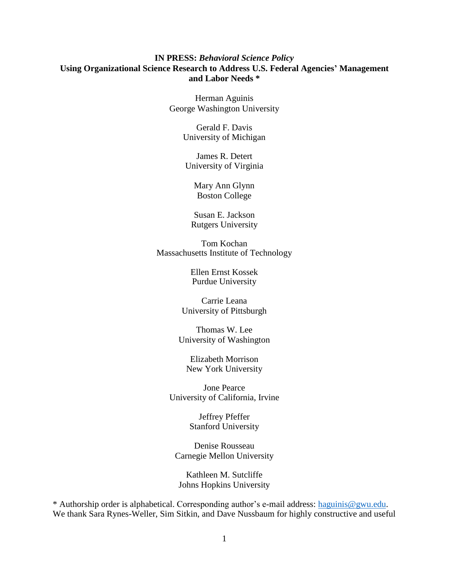# **IN PRESS:** *Behavioral Science Policy* **Using Organizational Science Research to Address U.S. Federal Agencies' Management and Labor Needs \***

Herman Aguinis George Washington University

> Gerald F. Davis University of Michigan

James R. Detert University of Virginia

> Mary Ann Glynn Boston College

Susan E. Jackson Rutgers University

Tom Kochan Massachusetts Institute of Technology

> Ellen Ernst Kossek Purdue University

Carrie Leana University of Pittsburgh

Thomas W. Lee University of Washington

Elizabeth Morrison New York University

Jone Pearce University of California, Irvine

> Jeffrey Pfeffer Stanford University

Denise Rousseau Carnegie Mellon University

Kathleen M. Sutcliffe Johns Hopkins University

\* Authorship order is alphabetical. Corresponding author's e-mail address: [haguinis@gwu.edu.](mailto:haguinis@gwu.edu) We thank Sara Rynes-Weller, Sim Sitkin, and Dave Nussbaum for highly constructive and useful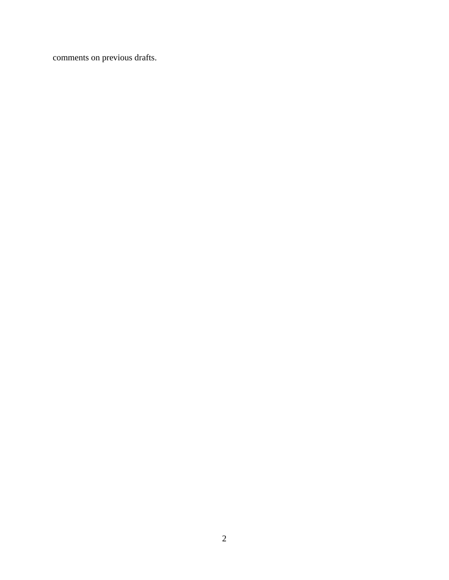comments on previous drafts.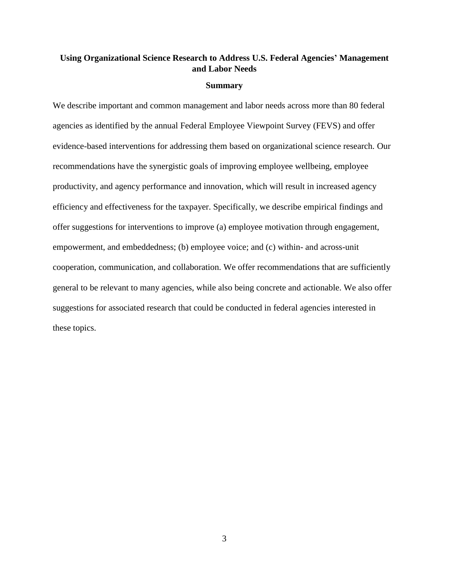# **Using Organizational Science Research to Address U.S. Federal Agencies' Management and Labor Needs**

## **Summary**

We describe important and common management and labor needs across more than 80 federal agencies as identified by the annual Federal Employee Viewpoint Survey (FEVS) and offer evidence-based interventions for addressing them based on organizational science research. Our recommendations have the synergistic goals of improving employee wellbeing, employee productivity, and agency performance and innovation, which will result in increased agency efficiency and effectiveness for the taxpayer. Specifically, we describe empirical findings and offer suggestions for interventions to improve (a) employee motivation through engagement, empowerment, and embeddedness; (b) employee voice; and (c) within- and across-unit cooperation, communication, and collaboration. We offer recommendations that are sufficiently general to be relevant to many agencies, while also being concrete and actionable. We also offer suggestions for associated research that could be conducted in federal agencies interested in these topics.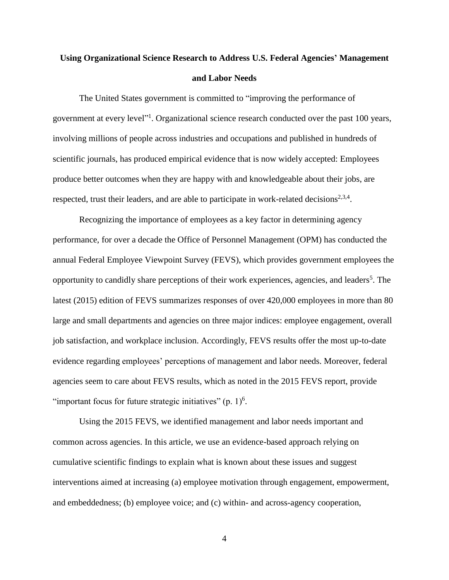# **Using Organizational Science Research to Address U.S. Federal Agencies' Management and Labor Needs**

The United States government is committed to "improving the performance of government at every level"<sup>1</sup>. Organizational science research conducted over the past 100 years, involving millions of people across industries and occupations and published in hundreds of scientific journals, has produced empirical evidence that is now widely accepted: Employees produce better outcomes when they are happy with and knowledgeable about their jobs, are respected, trust their leaders, and are able to participate in work-related decisions $2,3,4$ .

Recognizing the importance of employees as a key factor in determining agency performance, for over a decade the Office of Personnel Management (OPM) has conducted the annual Federal Employee Viewpoint Survey (FEVS), which provides government employees the opportunity to candidly share perceptions of their work experiences, agencies, and leaders<sup>5</sup>. The latest (2015) edition of FEVS summarizes responses of over 420,000 employees in more than 80 large and small departments and agencies on three major indices: employee engagement, overall job satisfaction, and workplace inclusion. Accordingly, FEVS results offer the most up-to-date evidence regarding employees' perceptions of management and labor needs. Moreover, federal agencies seem to care about FEVS results, which as noted in the 2015 FEVS report, provide "important focus for future strategic initiatives"  $(p. 1)^6$ .

Using the 2015 FEVS, we identified management and labor needs important and common across agencies. In this article, we use an evidence-based approach relying on cumulative scientific findings to explain what is known about these issues and suggest interventions aimed at increasing (a) employee motivation through engagement, empowerment, and embeddedness; (b) employee voice; and (c) within- and across-agency cooperation,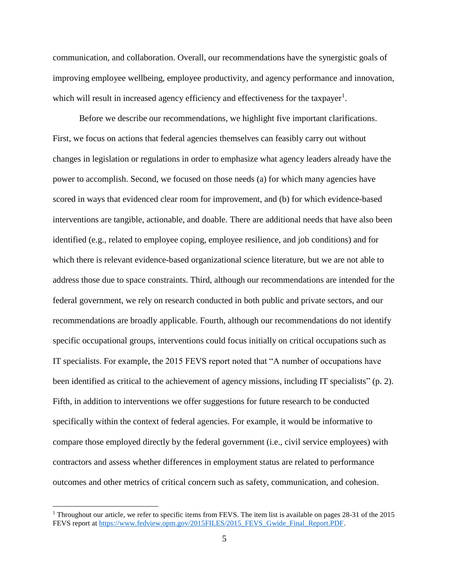communication, and collaboration. Overall, our recommendations have the synergistic goals of improving employee wellbeing, employee productivity, and agency performance and innovation, which will result in increased agency efficiency and effectiveness for the taxpayer<sup>1</sup>.

Before we describe our recommendations, we highlight five important clarifications. First, we focus on actions that federal agencies themselves can feasibly carry out without changes in legislation or regulations in order to emphasize what agency leaders already have the power to accomplish. Second, we focused on those needs (a) for which many agencies have scored in ways that evidenced clear room for improvement, and (b) for which evidence-based interventions are tangible, actionable, and doable. There are additional needs that have also been identified (e.g., related to employee coping, employee resilience, and job conditions) and for which there is relevant evidence-based organizational science literature, but we are not able to address those due to space constraints. Third, although our recommendations are intended for the federal government, we rely on research conducted in both public and private sectors, and our recommendations are broadly applicable. Fourth, although our recommendations do not identify specific occupational groups, interventions could focus initially on critical occupations such as IT specialists. For example, the 2015 FEVS report noted that "A number of occupations have been identified as critical to the achievement of agency missions, including IT specialists" (p. 2). Fifth, in addition to interventions we offer suggestions for future research to be conducted specifically within the context of federal agencies. For example, it would be informative to compare those employed directly by the federal government (i.e., civil service employees) with contractors and assess whether differences in employment status are related to performance outcomes and other metrics of critical concern such as safety, communication, and cohesion.

 $\overline{\phantom{a}}$ 

<sup>&</sup>lt;sup>1</sup> Throughout our article, we refer to specific items from FEVS. The item list is available on pages 28-31 of the 2015 FEVS report at [https://www.fedview.opm.gov/2015FILES/2015\\_FEVS\\_Gwide\\_Final\\_Report.PDF.](https://www.fedview.opm.gov/2015FILES/2015_FEVS_Gwide_Final_Report.PDF)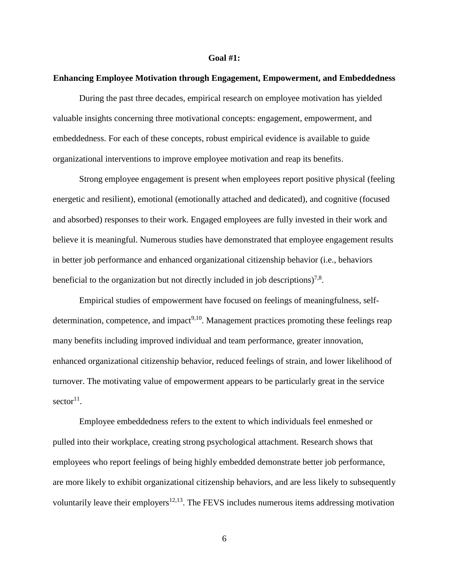#### **Goal #1:**

# **Enhancing Employee Motivation through Engagement, Empowerment, and Embeddedness**

During the past three decades, empirical research on employee motivation has yielded valuable insights concerning three motivational concepts: engagement, empowerment, and embeddedness. For each of these concepts, robust empirical evidence is available to guide organizational interventions to improve employee motivation and reap its benefits.

Strong employee engagement is present when employees report positive physical (feeling energetic and resilient), emotional (emotionally attached and dedicated), and cognitive (focused and absorbed) responses to their work. Engaged employees are fully invested in their work and believe it is meaningful. Numerous studies have demonstrated that employee engagement results in better job performance and enhanced organizational citizenship behavior (i.e., behaviors beneficial to the organization but not directly included in job descriptions)<sup>7,8</sup>.

Empirical studies of empowerment have focused on feelings of meaningfulness, selfdetermination, competence, and impact<sup>9,10</sup>. Management practices promoting these feelings reap many benefits including improved individual and team performance, greater innovation, enhanced organizational citizenship behavior, reduced feelings of strain, and lower likelihood of turnover. The motivating value of empowerment appears to be particularly great in the service  $sector<sup>11</sup>$ .

Employee embeddedness refers to the extent to which individuals feel enmeshed or pulled into their workplace, creating strong psychological attachment. Research shows that employees who report feelings of being highly embedded demonstrate better job performance, are more likely to exhibit organizational citizenship behaviors, and are less likely to subsequently voluntarily leave their employers<sup>12,13</sup>. The FEVS includes numerous items addressing motivation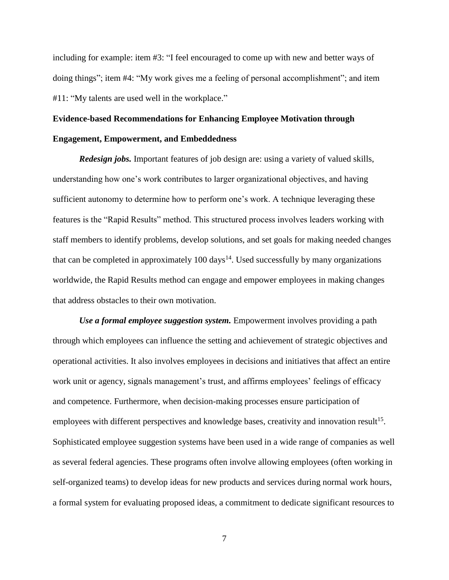including for example: item #3: "I feel encouraged to come up with new and better ways of doing things"; item #4: "My work gives me a feeling of personal accomplishment"; and item #11: "My talents are used well in the workplace."

# **Evidence-based Recommendations for Enhancing Employee Motivation through Engagement, Empowerment, and Embeddedness**

*Redesign jobs.* Important features of job design are: using a variety of valued skills, understanding how one's work contributes to larger organizational objectives, and having sufficient autonomy to determine how to perform one's work. A technique leveraging these features is the "Rapid Results" method. This structured process involves leaders working with staff members to identify problems, develop solutions, and set goals for making needed changes that can be completed in approximately 100 days<sup>14</sup>. Used successfully by many organizations worldwide, the Rapid Results method can engage and empower employees in making changes that address obstacles to their own motivation.

*Use a formal employee suggestion system.* Empowerment involves providing a path through which employees can influence the setting and achievement of strategic objectives and operational activities. It also involves employees in decisions and initiatives that affect an entire work unit or agency, signals management's trust, and affirms employees' feelings of efficacy and competence. Furthermore, when decision-making processes ensure participation of employees with different perspectives and knowledge bases, creativity and innovation result<sup>15</sup>. Sophisticated employee suggestion systems have been used in a wide range of companies as well as several federal agencies. These programs often involve allowing employees (often working in self-organized teams) to develop ideas for new products and services during normal work hours, a formal system for evaluating proposed ideas, a commitment to dedicate significant resources to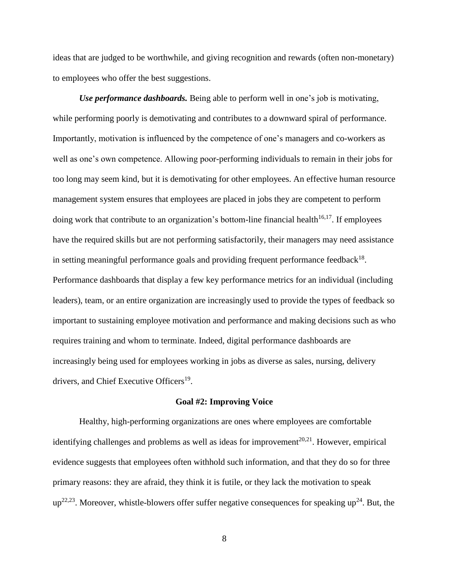ideas that are judged to be worthwhile, and giving recognition and rewards (often non-monetary) to employees who offer the best suggestions.

*Use performance dashboards.* Being able to perform well in one's job is motivating, while performing poorly is demotivating and contributes to a downward spiral of performance. Importantly, motivation is influenced by the competence of one's managers and co-workers as well as one's own competence. Allowing poor-performing individuals to remain in their jobs for too long may seem kind, but it is demotivating for other employees. An effective human resource management system ensures that employees are placed in jobs they are competent to perform doing work that contribute to an organization's bottom-line financial health<sup>16,17</sup>. If employees have the required skills but are not performing satisfactorily, their managers may need assistance in setting meaningful performance goals and providing frequent performance feedback<sup>18</sup>. Performance dashboards that display a few key performance metrics for an individual (including leaders), team, or an entire organization are increasingly used to provide the types of feedback so important to sustaining employee motivation and performance and making decisions such as who requires training and whom to terminate. Indeed, digital performance dashboards are increasingly being used for employees working in jobs as diverse as sales, nursing, delivery drivers, and Chief Executive Officers<sup>19</sup>.

### **Goal #2: Improving Voice**

Healthy, high-performing organizations are ones where employees are comfortable identifying challenges and problems as well as ideas for improvement<sup>20,21</sup>. However, empirical evidence suggests that employees often withhold such information, and that they do so for three primary reasons: they are afraid, they think it is futile, or they lack the motivation to speak  $up^{22,23}$ . Moreover, whistle-blowers offer suffer negative consequences for speaking up<sup>24</sup>. But, the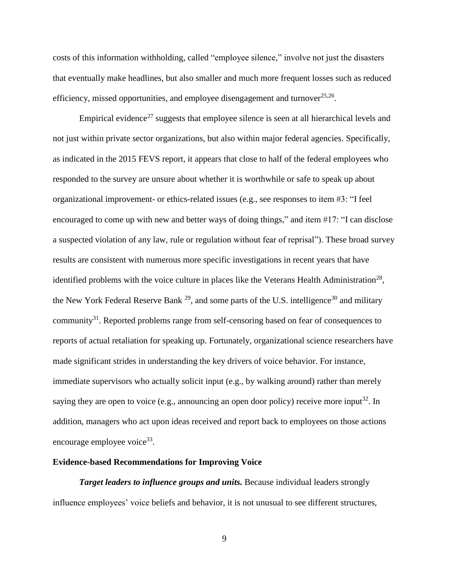costs of this information withholding, called "employee silence," involve not just the disasters that eventually make headlines, but also smaller and much more frequent losses such as reduced efficiency, missed opportunities, and employee disengagement and turnover $^{25,26}$ .

Empirical evidence<sup>27</sup> suggests that employee silence is seen at all hierarchical levels and not just within private sector organizations, but also within major federal agencies. Specifically, as indicated in the 2015 FEVS report, it appears that close to half of the federal employees who responded to the survey are unsure about whether it is worthwhile or safe to speak up about organizational improvement- or ethics-related issues (e.g., see responses to item #3: "I feel encouraged to come up with new and better ways of doing things," and item #17: "I can disclose a suspected violation of any law, rule or regulation without fear of reprisal"). These broad survey results are consistent with numerous more specific investigations in recent years that have identified problems with the voice culture in places like the Veterans Health Administration<sup>28</sup>, the New York Federal Reserve Bank  $^{29}$ , and some parts of the U.S. intelligence<sup>30</sup> and military community<sup>31</sup>. Reported problems range from self-censoring based on fear of consequences to reports of actual retaliation for speaking up. Fortunately, organizational science researchers have made significant strides in understanding the key drivers of voice behavior. For instance, immediate supervisors who actually solicit input (e.g., by walking around) rather than merely saying they are open to voice (e.g., announcing an open door policy) receive more input<sup>32</sup>. In addition, managers who act upon ideas received and report back to employees on those actions encourage employee voice<sup>33</sup>.

# **Evidence-based Recommendations for Improving Voice**

**Target leaders to influence groups and units.** Because individual leaders strongly influence employees' voice beliefs and behavior, it is not unusual to see different structures,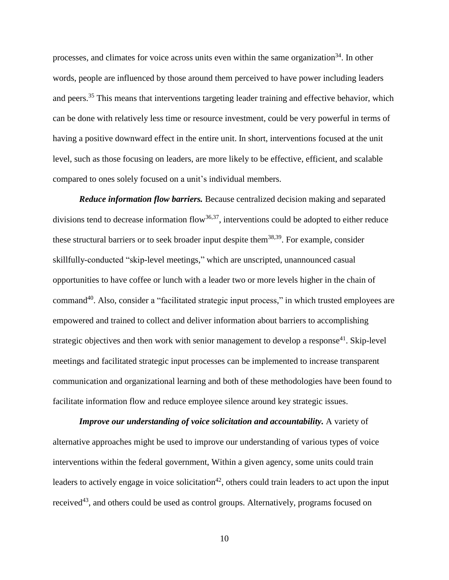processes, and climates for voice across units even within the same organization<sup>34</sup>. In other words, people are influenced by those around them perceived to have power including leaders and peers.<sup>35</sup> This means that interventions targeting leader training and effective behavior, which can be done with relatively less time or resource investment, could be very powerful in terms of having a positive downward effect in the entire unit. In short, interventions focused at the unit level, such as those focusing on leaders, are more likely to be effective, efficient, and scalable compared to ones solely focused on a unit's individual members.

*Reduce information flow barriers.* Because centralized decision making and separated divisions tend to decrease information flow<sup>36,37</sup>, interventions could be adopted to either reduce these structural barriers or to seek broader input despite them<sup>38,39</sup>. For example, consider skillfully-conducted "skip-level meetings," which are unscripted, unannounced casual opportunities to have coffee or lunch with a leader two or more levels higher in the chain of command<sup>40</sup>. Also, consider a "facilitated strategic input process," in which trusted employees are empowered and trained to collect and deliver information about barriers to accomplishing strategic objectives and then work with senior management to develop a response<sup>41</sup>. Skip-level meetings and facilitated strategic input processes can be implemented to increase transparent communication and organizational learning and both of these methodologies have been found to facilitate information flow and reduce employee silence around key strategic issues.

*Improve our understanding of voice solicitation and accountability.* A variety of alternative approaches might be used to improve our understanding of various types of voice interventions within the federal government, Within a given agency, some units could train leaders to actively engage in voice solicitation<sup>42</sup>, others could train leaders to act upon the input received<sup>43</sup>, and others could be used as control groups. Alternatively, programs focused on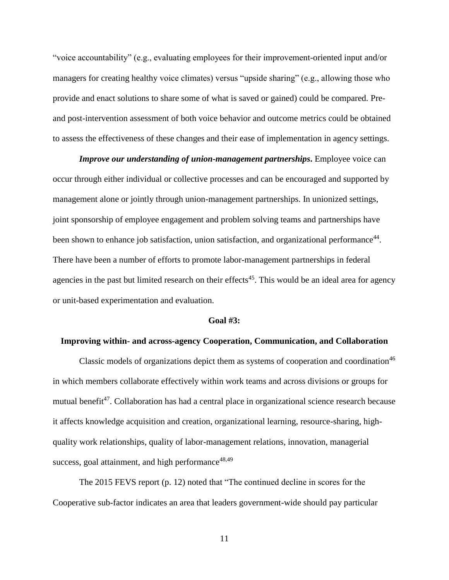"voice accountability" (e.g., evaluating employees for their improvement-oriented input and/or managers for creating healthy voice climates) versus "upside sharing" (e.g., allowing those who provide and enact solutions to share some of what is saved or gained) could be compared. Preand post-intervention assessment of both voice behavior and outcome metrics could be obtained to assess the effectiveness of these changes and their ease of implementation in agency settings.

*Improve our understanding of union-management partnerships***.** Employee voice can occur through either individual or collective processes and can be encouraged and supported by management alone or jointly through union-management partnerships. In unionized settings, joint sponsorship of employee engagement and problem solving teams and partnerships have been shown to enhance job satisfaction, union satisfaction, and organizational performance<sup>44</sup>. There have been a number of efforts to promote labor-management partnerships in federal agencies in the past but limited research on their effects<sup>45</sup>. This would be an ideal area for agency or unit-based experimentation and evaluation.

### **Goal #3:**

## **Improving within- and across-agency Cooperation, Communication, and Collaboration**

Classic models of organizations depict them as systems of cooperation and coordination<sup>46</sup> in which members collaborate effectively within work teams and across divisions or groups for mutual benefit<sup>47</sup>. Collaboration has had a central place in organizational science research because it affects knowledge acquisition and creation, organizational learning, resource-sharing, highquality work relationships, quality of labor-management relations, innovation, managerial success, goal attainment, and high performance $48,49$ 

The 2015 FEVS report (p. 12) noted that "The continued decline in scores for the Cooperative sub-factor indicates an area that leaders government-wide should pay particular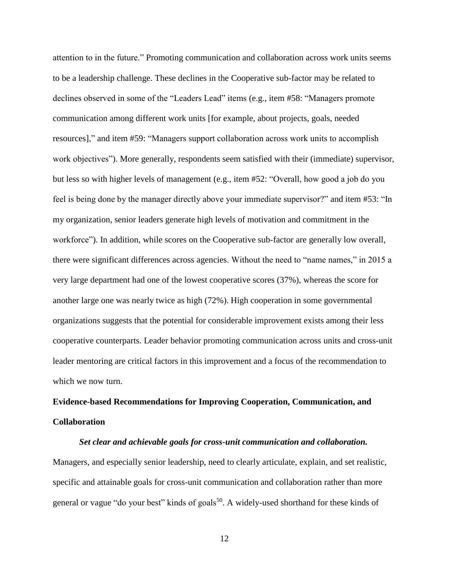attention to in the future." Promoting communication and collaboration across work units seems to be a leadership challenge. These declines in the Cooperative sub-factor may be related to declines observed in some of the "Leaders Lead" items (e.g., item #58: "Managers promote communication among different work units [for example, about projects, goals, needed resources]," and item #59: "Managers support collaboration across work units to accomplish work objectives"). More generally, respondents seem satisfied with their (immediate) supervisor, but less so with higher levels of management (e.g., item #52: "Overall, how good a job do you feel is being done by the manager directly above your immediate supervisor?" and item #53: "In my organization, senior leaders generate high levels of motivation and commitment in the workforce"). In addition, while scores on the Cooperative sub-factor are generally low overall, there were significant differences across agencies. Without the need to "name names," in 2015 a very large department had one of the lowest cooperative scores (37%), whereas the score for another large one was nearly twice as high (72%). High cooperation in some governmental organizations suggests that the potential for considerable improvement exists among their less cooperative counterparts. Leader behavior promoting communication across units and cross-unit leader mentoring are critical factors in this improvement and a focus of the recommendation to which we now turn.

# **Evidence-based Recommendations for Improving Cooperation, Communication, and Collaboration**

*Set clear and achievable goals for cross-unit communication and collaboration.*  Managers, and especially senior leadership, need to clearly articulate, explain, and set realistic, specific and attainable goals for cross-unit communication and collaboration rather than more general or vague "do your best" kinds of goals<sup>50</sup>. A widely-used shorthand for these kinds of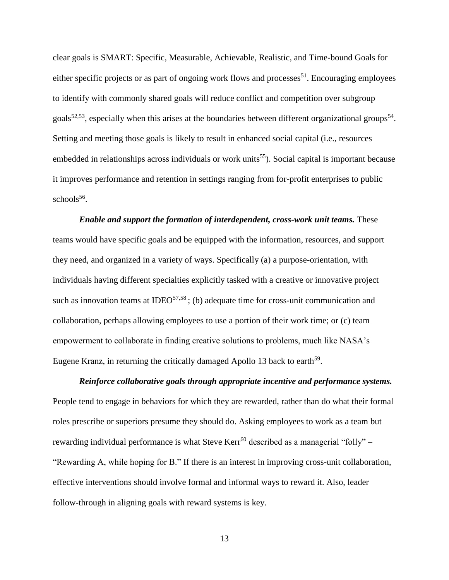clear goals is SMART: Specific, Measurable, Achievable, Realistic, and Time-bound Goals for either specific projects or as part of ongoing work flows and processes<sup>51</sup>. Encouraging employees to identify with commonly shared goals will reduce conflict and competition over subgroup goals<sup>52,53</sup>, especially when this arises at the boundaries between different organizational groups<sup>54</sup>. Setting and meeting those goals is likely to result in enhanced social capital (i.e., resources embedded in relationships across individuals or work units<sup>55</sup>). Social capital is important because it improves performance and retention in settings ranging from for-profit enterprises to public schools<sup>56</sup>.

*Enable and support the formation of interdependent, cross-work unit teams.* These teams would have specific goals and be equipped with the information, resources, and support they need, and organized in a variety of ways. Specifically (a) a purpose-orientation, with individuals having different specialties explicitly tasked with a creative or innovative project such as innovation teams at IDEO<sup>57,58</sup>; (b) adequate time for cross-unit communication and collaboration, perhaps allowing employees to use a portion of their work time; or (c) team empowerment to collaborate in finding creative solutions to problems, much like NASA's Eugene Kranz, in returning the critically damaged Apollo 13 back to earth<sup>59</sup>.

*Reinforce collaborative goals through appropriate incentive and performance systems.* People tend to engage in behaviors for which they are rewarded, rather than do what their formal roles prescribe or superiors presume they should do. Asking employees to work as a team but rewarding individual performance is what Steve Kerr<sup>60</sup> described as a managerial "folly" – "Rewarding A, while hoping for B." If there is an interest in improving cross-unit collaboration, effective interventions should involve formal and informal ways to reward it. Also, leader follow-through in aligning goals with reward systems is key.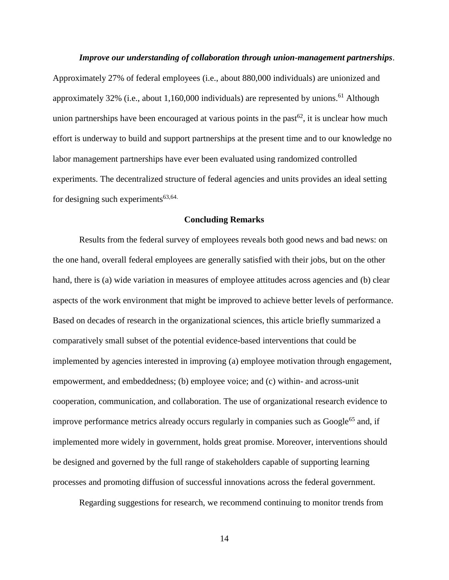#### *Improve our understanding of collaboration through union-management partnerships*.

Approximately 27% of federal employees (i.e., about 880,000 individuals) are unionized and approximately 32% (i.e., about 1,160,000 individuals) are represented by unions.<sup>61</sup> Although union partnerships have been encouraged at various points in the past<sup>62</sup>, it is unclear how much effort is underway to build and support partnerships at the present time and to our knowledge no labor management partnerships have ever been evaluated using randomized controlled experiments. The decentralized structure of federal agencies and units provides an ideal setting for designing such experiments $63,64$ .

## **Concluding Remarks**

Results from the federal survey of employees reveals both good news and bad news: on the one hand, overall federal employees are generally satisfied with their jobs, but on the other hand, there is (a) wide variation in measures of employee attitudes across agencies and (b) clear aspects of the work environment that might be improved to achieve better levels of performance. Based on decades of research in the organizational sciences, this article briefly summarized a comparatively small subset of the potential evidence-based interventions that could be implemented by agencies interested in improving (a) employee motivation through engagement, empowerment, and embeddedness; (b) employee voice; and (c) within- and across-unit cooperation, communication, and collaboration. The use of organizational research evidence to improve performance metrics already occurs regularly in companies such as Google<sup>65</sup> and, if implemented more widely in government, holds great promise. Moreover, interventions should be designed and governed by the full range of stakeholders capable of supporting learning processes and promoting diffusion of successful innovations across the federal government.

Regarding suggestions for research, we recommend continuing to monitor trends from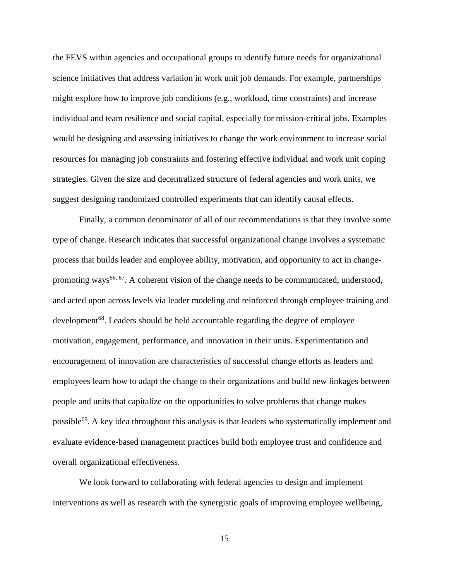the FEVS within agencies and occupational groups to identify future needs for organizational science initiatives that address variation in work unit job demands. For example, partnerships might explore how to improve job conditions (e.g., workload, time constraints) and increase individual and team resilience and social capital, especially for mission-critical jobs. Examples would be designing and assessing initiatives to change the work environment to increase social resources for managing job constraints and fostering effective individual and work unit coping strategies. Given the size and decentralized structure of federal agencies and work units, we suggest designing randomized controlled experiments that can identify causal effects.

Finally, a common denominator of all of our recommendations is that they involve some type of change. Research indicates that successful organizational change involves a systematic process that builds leader and employee ability, motivation, and opportunity to act in changepromoting ways<sup>66, 67</sup>. A coherent vision of the change needs to be communicated, understood, and acted upon across levels via leader modeling and reinforced through employee training and development<sup>68</sup>. Leaders should be held accountable regarding the degree of employee motivation, engagement, performance, and innovation in their units. Experimentation and encouragement of innovation are characteristics of successful change efforts as leaders and employees learn how to adapt the change to their organizations and build new linkages between people and units that capitalize on the opportunities to solve problems that change makes possible<sup>69</sup>. A key idea throughout this analysis is that leaders who systematically implement and evaluate evidence-based management practices build both employee trust and confidence and overall organizational effectiveness.

We look forward to collaborating with federal agencies to design and implement interventions as well as research with the synergistic goals of improving employee wellbeing,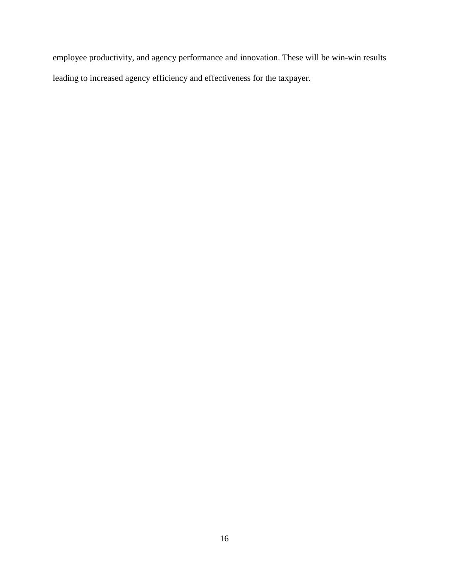employee productivity, and agency performance and innovation. These will be win-win results leading to increased agency efficiency and effectiveness for the taxpayer.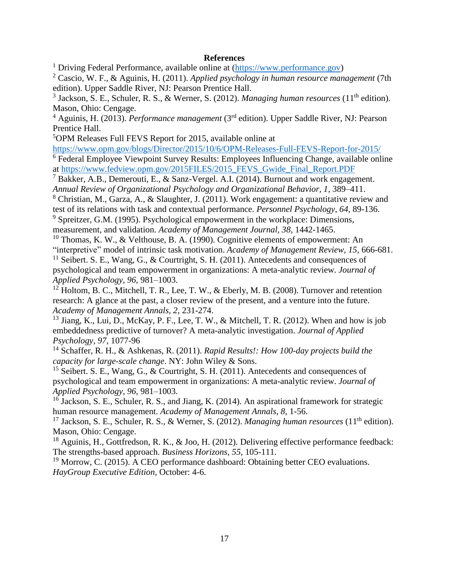# **References**

<sup>1</sup> Driving Federal Performance, available online at  $(\frac{https://www.performance.gov)}{https://www.performance.gov)}$ 

<sup>2</sup> Cascio, W. F., & Aguinis, H. (2011). *Applied psychology in human resource management* (7th edition). Upper Saddle River, NJ: Pearson Prentice Hall.

<sup>3</sup> Jackson, S. E., Schuler, R. S., & Werner, S. (2012). *Managing human resources* (11<sup>th</sup> edition). Mason, Ohio: Cengage.

<sup>4</sup> Aguinis, H. (2013). *Performance management* (3rd edition). Upper Saddle River, NJ: Pearson Prentice Hall.

<sup>5</sup>OPM Releases Full FEVS Report for 2015, available online at

<https://www.opm.gov/blogs/Director/2015/10/6/OPM-Releases-Full-FEVS-Report-for-2015/>

 $\overline{6}$  Federal Employee Viewpoint Survey Results: Employees Influencing Change, available online at [https://www.fedview.opm.gov/2015FILES/2015\\_FEVS\\_Gwide\\_Final\\_Report.PDF](https://www.fedview.opm.gov/2015FILES/2015_FEVS_Gwide_Final_Report.PDF)

<sup>7</sup> Bakker, A.B., Demerouti, E., & Sanz-Vergel. A.I. (2014). Burnout and work engagement. *Annual Review of Organizational Psychology and Organizational Behavior, 1,* 389–411.

<sup>8</sup> Christian, M., Garza, A., & Slaughter, J. (2011). Work engagement: a quantitative review and test of its relations with task and contextual performance. *Personnel Psychology, 64*, 89-136.

<sup>9</sup> Spreitzer, G.M. (1995). Psychological empowerment in the workplace: Dimensions, measurement, and validation. *Academy of Management Journal, 38,* 1442-1465.

<sup>10</sup> Thomas, K. W., & Velthouse, B. A. (1990). Cognitive elements of empowerment: An "interpretive" model of intrinsic task motivation. *Academy of Management Review, 15,* 666-681.

<sup>11</sup> Seibert. S. E., Wang, G., & Courtright, S. H. (2011). Antecedents and consequences of psychological and team empowerment in organizations: A meta-analytic review. *Journal of Applied Psychology, 96*, 981–1003.

 $1^2$  Holtom, B. C., Mitchell, T. R., Lee, T. W., & Eberly, M. B. (2008). Turnover and retention research: A glance at the past, a closer review of the present, and a venture into the future. *Academy of Management Annals, 2*, 231-274.

<sup>13</sup> Jiang, K., Lui, D., McKay, P. F., Lee, T. W., & Mitchell, T. R. (2012). When and how is job embeddedness predictive of turnover? A meta-analytic investigation. *Journal of Applied Psychology, 97,* 1077-96

<sup>14</sup> Schaffer, R. H., & Ashkenas, R. (2011). *Rapid Results!: How 100-day projects build the capacity for large-scale change*. NY: John Wiley & Sons.

<sup>15</sup> Seibert, S. E., Wang, G., & Courtright, S. H. (2011). Antecedents and consequences of psychological and team empowerment in organizations: A meta-analytic review. *Journal of Applied Psychology, 96,* 981–1003.

<sup>16</sup> Jackson, S. E., Schuler, R. S., and Jiang, K. (2014). An aspirational framework for strategic human resource management. *Academy of Management Annals, 8*, 1-56.

<sup>17</sup> Jackson, S. E., Schuler, R. S., & Werner, S. (2012). *Managing human resources* (11<sup>th</sup> edition). Mason, Ohio: Cengage.

<sup>18</sup> Aguinis, H., Gottfredson, R. K., & Joo, H. (2012). Delivering effective performance feedback: The strengths-based approach. *Business Horizons, 55*, 105-111.

<sup>19</sup> Morrow, C. (2015). A CEO performance dashboard: Obtaining better CEO evaluations. *HayGroup Executive Edition*, October: 4-6.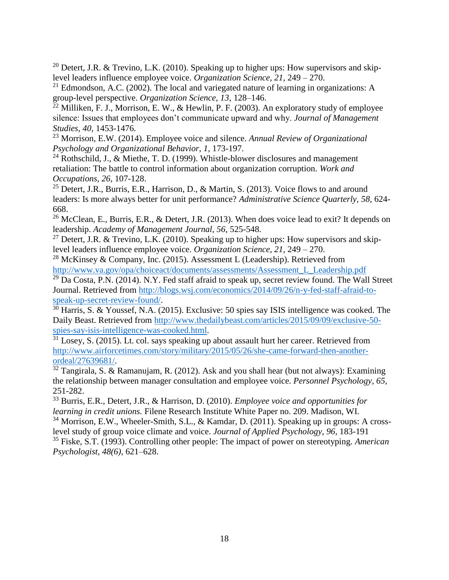<sup>20</sup> Detert, J.R. & Trevino, L.K. (2010). Speaking up to higher ups: How supervisors and skiplevel leaders influence employee voice. *Organization Science, 21,* 249 – 270.

 $21$  Edmondson, A.C. (2002). The local and variegated nature of learning in organizations: A group-level perspective. *Organization Science, 13*, 128–146.

 $^{22}$  Milliken, F. J., Morrison, E. W., & Hewlin, P. F. (2003). An exploratory study of employee silence: Issues that employees don't communicate upward and why. *Journal of Management Studies, 40,* 1453-1476.

<sup>23</sup> Morrison, E.W. (2014). Employee voice and silence. *Annual Review of Organizational Psychology and Organizational Behavior, 1,* 173-197.

<sup>24</sup> Rothschild, J., & Miethe, T. D. (1999). Whistle-blower disclosures and management retaliation: The battle to control information about organization corruption. *Work and Occupations, 26*, 107-128.

<sup>25</sup> Detert, J.R., Burris, E.R., Harrison, D., & Martin, S. (2013). Voice flows to and around leaders: Is more always better for unit performance? *Administrative Science Quarterly, 58,* 624- 668.

<sup>26</sup> McClean, E., Burris, E.R., & Detert, J.R. (2013). When does voice lead to exit? It depends on leadership. *Academy of Management Journal, 56*, 525-548.

<sup>27</sup> Detert, J.R. & Trevino, L.K. (2010). Speaking up to higher ups: How supervisors and skiplevel leaders influence employee voice. *Organization Science, 21,* 249 – 270.

<sup>28</sup> McKinsey & Company, Inc. (2015). Assessment L (Leadership). Retrieved from [http://www.va.gov/opa/choiceact/documents/assessments/Assessment\\_L\\_Leadership.pdf](http://www.va.gov/opa/choiceact/documents/assessments/Assessment_L_Leadership.pdf)

 $29$  Da Costa, P.N. (2014). N.Y. Fed staff afraid to speak up, secret review found. The Wall Street Journal. Retrieved from [http://blogs.wsj.com/economics/2014/09/26/n-y-fed-staff-afraid-to](http://blogs.wsj.com/economics/2014/09/26/n-y-fed-staff-afraid-to-speak-up-secret-review-found/)[speak-up-secret-review-found/.](http://blogs.wsj.com/economics/2014/09/26/n-y-fed-staff-afraid-to-speak-up-secret-review-found/)

 $30$  Harris, S. & Youssef, N.A. (2015). Exclusive: 50 spies say ISIS intelligence was cooked. The Daily Beast. Retrieved from [http://www.thedailybeast.com/articles/2015/09/09/exclusive-50](http://www.thedailybeast.com/articles/2015/09/09/exclusive-50-spies-say-isis-intelligence-was-cooked.html) [spies-say-isis-intelligence-was-cooked.html.](http://www.thedailybeast.com/articles/2015/09/09/exclusive-50-spies-say-isis-intelligence-was-cooked.html)

 $\overline{31}$  Losey, S. (2015). Lt. col. says speaking up about assault hurt her career. Retrieved from [http://www.airforcetimes.com/story/military/2015/05/26/she-came-forward-then-another](http://www.airforcetimes.com/story/military/2015/05/26/she-came-forward-then-another-ordeal/27639681/)[ordeal/27639681/.](http://www.airforcetimes.com/story/military/2015/05/26/she-came-forward-then-another-ordeal/27639681/)

 $\frac{32}{32}$  Tangirala, S. & Ramanujam, R. (2012). Ask and you shall hear (but not always): Examining the relationship between manager consultation and employee voice. *Personnel Psychology, 65,* 251-282.

<sup>33</sup> Burris, E.R., Detert, J.R., & Harrison, D. (2010). *Employee voice and opportunities for learning in credit unions.* Filene Research Institute White Paper no. 209. Madison, WI.

<sup>34</sup> Morrison, E.W., Wheeler-Smith, S.L., & Kamdar, D. (2011). Speaking up in groups: A crosslevel study of group voice climate and voice. *Journal of Applied Psychology, 96,* 183-191

<sup>35</sup> Fiske, S.T. (1993). Controlling other people: The impact of power on stereotyping. *American Psychologist, 48(6),* 621–628.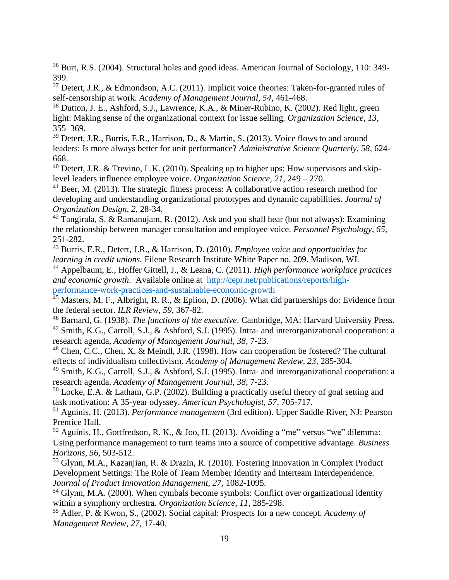<sup>36</sup> Burt, R.S. (2004). Structural holes and good ideas. American Journal of Sociology, 110: 349- 399.

<sup>37</sup> Detert, J.R., & Edmondson, A.C. (2011). Implicit voice theories: Taken-for-granted rules of self-censorship at work. *Academy of Management Journal, 54,* 461-468.

<sup>38</sup> Dutton, J. E., Ashford, S.J., Lawrence, K.A., & Miner-Rubino, K. (2002). Red light, green light: Making sense of the organizational context for issue selling. *Organization Science, 13,* 355–369.

<sup>39</sup> Detert, J.R., Burris, E.R., Harrison, D., & Martin, S. (2013). Voice flows to and around leaders: Is more always better for unit performance? *Administrative Science Quarterly, 58,* 624- 668.

 $40$  Detert, J.R. & Trevino, L.K. (2010). Speaking up to higher ups: How supervisors and skiplevel leaders influence employee voice. *Organization Science, 21*, 249 – 270.

 $41$  Beer, M. (2013). The strategic fitness process: A collaborative action research method for developing and understanding organizational prototypes and dynamic capabilities. *Journal of Organization Design, 2,* 28-34.

 $42$  Tangirala, S. & Ramanujam, R. (2012). Ask and you shall hear (but not always): Examining the relationship between manager consultation and employee voice. *Personnel Psychology, 65,*  251-282.

<sup>43</sup> Burris, E.R., Detert, J.R., & Harrison, D. (2010). *Employee voice and opportunities for learning in credit unions.* Filene Research Institute White Paper no. 209. Madison, WI.

<sup>44</sup> Appelbaum, E., Hoffer Gittell, J., & Leana, C. (2011). *High performance workplace practices and economic growth*. Available online at [http://cepr.net/publications/reports/high](http://cepr.net/publications/reports/high-performance-work-practices-and-sustainable-economic-growth)[performance-work-practices-and-sustainable-economic-growth](http://cepr.net/publications/reports/high-performance-work-practices-and-sustainable-economic-growth)

<sup>45</sup> Masters, M. F., Albright, R. R., & Eplion, D. (2006). What did partnerships do: Evidence from the federal sector. *ILR Review, 59*, 367-82.

<sup>46</sup> Barnard, G. (1938). *The functions of the executive*. Cambridge, MA: Harvard University Press.

<sup>47</sup> Smith, K.G., Carroll, S.J., & Ashford, S.J. (1995). Intra- and interorganizational cooperation: a research agenda, *Academy of Management Journal, 38,* 7‐23.

<sup>48</sup> Chen, C.C., Chen, X. & Meindl, J.R. (1998). How can cooperation be fostered? The cultural effects of individualism collectivism. *Academy of Management Review, 23,* 285‐304.

<sup>49</sup> Smith, K.G., Carroll, S.J., & Ashford, S.J. (1995). Intra‐ and interorganizational cooperation: a research agenda. *Academy of Management Journal, 38*, 7‐23.

 $50$  Locke, E.A. & Latham, G.P. (2002). Building a practically useful theory of goal setting and task motivation: A 35-year odyssey. *American Psychologist, 57,* 705-717.

<sup>51</sup> Aguinis, H. (2013). *Performance management* (3rd edition). Upper Saddle River, NJ: Pearson Prentice Hall.

 $52$  Aguinis, H., Gottfredson, R. K., & Joo, H. (2013). Avoiding a "me" versus "we" dilemma: Using performance management to turn teams into a source of competitive advantage. *Business Horizons, 56,* 503-512.

<sup>53</sup> Glynn, M.A., Kazanjian, R. & Drazin, R. (2010). Fostering Innovation in Complex Product Development Settings: The Role of Team Member Identity and Interteam Interdependence. *Journal of Product Innovation Management, 27*, 1082-1095.

<sup>54</sup> Glynn, M.A. (2000). When cymbals become symbols: Conflict over organizational identity within a symphony orchestra. *Organization Science, 11,* 285-298.

<sup>55</sup> Adler, P. & Kwon, S., (2002). Social capital: Prospects for a new concept. *Academy of Management Review, 27*, 17-40.